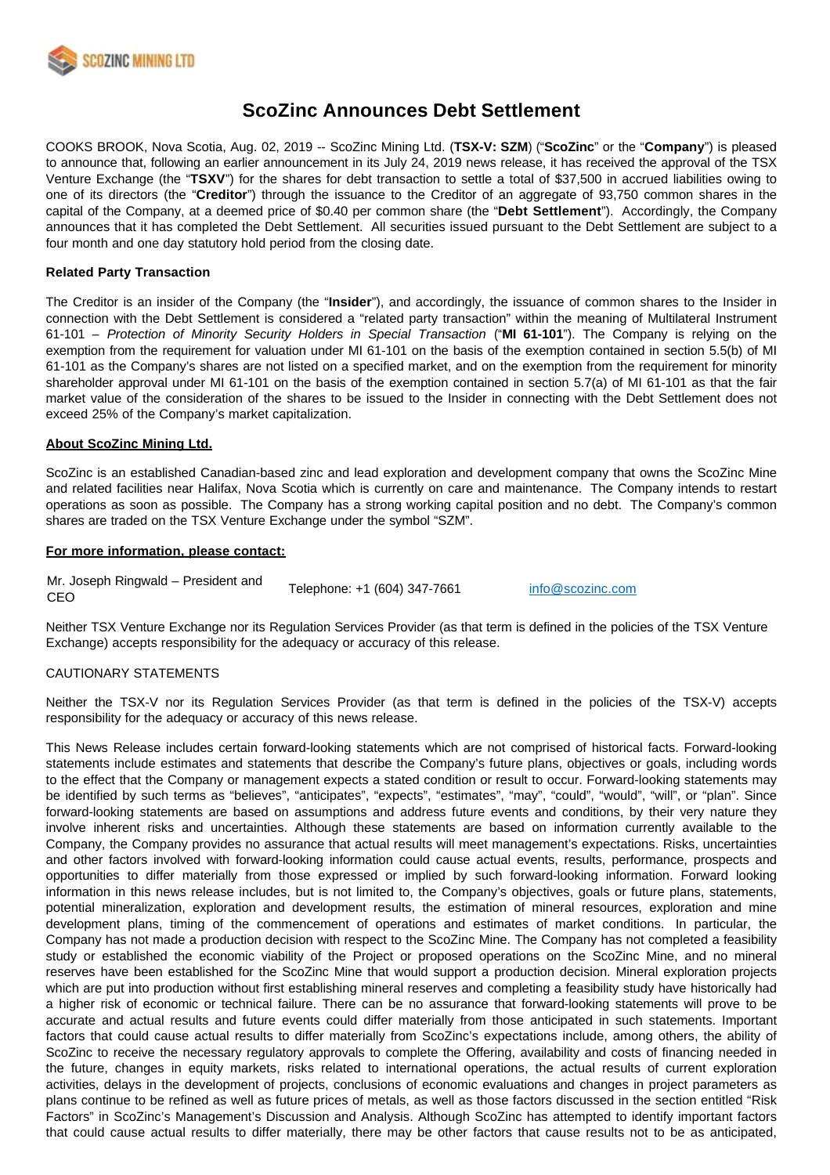

# **ScoZinc Announces Debt Settlement**

COOKS BROOK, Nova Scotia, Aug. 02, 2019 -- ScoZinc Mining Ltd. (**TSX-V: SZM**) ("**ScoZinc**" or the "**Company**") is pleased to announce that, following an earlier announcement in its July 24, 2019 news release, it has received the approval of the TSX Venture Exchange (the "**TSXV**") for the shares for debt transaction to settle a total of \$37,500 in accrued liabilities owing to one of its directors (the "**Creditor**") through the issuance to the Creditor of an aggregate of 93,750 common shares in the capital of the Company, at a deemed price of \$0.40 per common share (the "**Debt Settlement**"). Accordingly, the Company announces that it has completed the Debt Settlement. All securities issued pursuant to the Debt Settlement are subject to a four month and one day statutory hold period from the closing date.

## **Related Party Transaction**

The Creditor is an insider of the Company (the "**Insider**"), and accordingly, the issuance of common shares to the Insider in connection with the Debt Settlement is considered a "related party transaction" within the meaning of Multilateral Instrument 61-101 – Protection of Minority Security Holders in Special Transaction ("**MI 61-101**"). The Company is relying on the exemption from the requirement for valuation under MI 61-101 on the basis of the exemption contained in section 5.5(b) of MI 61-101 as the Company's shares are not listed on a specified market, and on the exemption from the requirement for minority shareholder approval under MI 61-101 on the basis of the exemption contained in section 5.7(a) of MI 61-101 as that the fair market value of the consideration of the shares to be issued to the Insider in connecting with the Debt Settlement does not exceed 25% of the Company's market capitalization.

#### **About ScoZinc Mining Ltd.**

ScoZinc is an established Canadian-based zinc and lead exploration and development company that owns the ScoZinc Mine and related facilities near Halifax, Nova Scotia which is currently on care and maintenance. The Company intends to restart operations as soon as possible. The Company has a strong working capital position and no debt. The Company's common shares are traded on the TSX Venture Exchange under the symbol "SZM".

### **For more information, please contact:**

Mr. Joseph Ringwald – President and MI. Joseph Kingwalu – President and Telephone: +1 (604) 347-7661 [info@scozinc.com](mailto:info@scozinc.com)

Neither TSX Venture Exchange nor its Regulation Services Provider (as that term is defined in the policies of the TSX Venture Exchange) accepts responsibility for the adequacy or accuracy of this release.

#### CAUTIONARY STATEMENTS

Neither the TSX-V nor its Regulation Services Provider (as that term is defined in the policies of the TSX-V) accepts responsibility for the adequacy or accuracy of this news release.

This News Release includes certain forward-looking statements which are not comprised of historical facts. Forward-looking statements include estimates and statements that describe the Company's future plans, objectives or goals, including words to the effect that the Company or management expects a stated condition or result to occur. Forward-looking statements may be identified by such terms as "believes", "anticipates", "expects", "estimates", "may", "could", "would", "will", or "plan". Since forward-looking statements are based on assumptions and address future events and conditions, by their very nature they involve inherent risks and uncertainties. Although these statements are based on information currently available to the Company, the Company provides no assurance that actual results will meet management's expectations. Risks, uncertainties and other factors involved with forward-looking information could cause actual events, results, performance, prospects and opportunities to differ materially from those expressed or implied by such forward-looking information. Forward looking information in this news release includes, but is not limited to, the Company's objectives, goals or future plans, statements, potential mineralization, exploration and development results, the estimation of mineral resources, exploration and mine development plans, timing of the commencement of operations and estimates of market conditions. In particular, the Company has not made a production decision with respect to the ScoZinc Mine. The Company has not completed a feasibility study or established the economic viability of the Project or proposed operations on the ScoZinc Mine, and no mineral reserves have been established for the ScoZinc Mine that would support a production decision. Mineral exploration projects which are put into production without first establishing mineral reserves and completing a feasibility study have historically had a higher risk of economic or technical failure. There can be no assurance that forward-looking statements will prove to be accurate and actual results and future events could differ materially from those anticipated in such statements. Important factors that could cause actual results to differ materially from ScoZinc's expectations include, among others, the ability of ScoZinc to receive the necessary regulatory approvals to complete the Offering, availability and costs of financing needed in the future, changes in equity markets, risks related to international operations, the actual results of current exploration activities, delays in the development of projects, conclusions of economic evaluations and changes in project parameters as plans continue to be refined as well as future prices of metals, as well as those factors discussed in the section entitled "Risk Factors" in ScoZinc's Management's Discussion and Analysis. Although ScoZinc has attempted to identify important factors that could cause actual results to differ materially, there may be other factors that cause results not to be as anticipated,